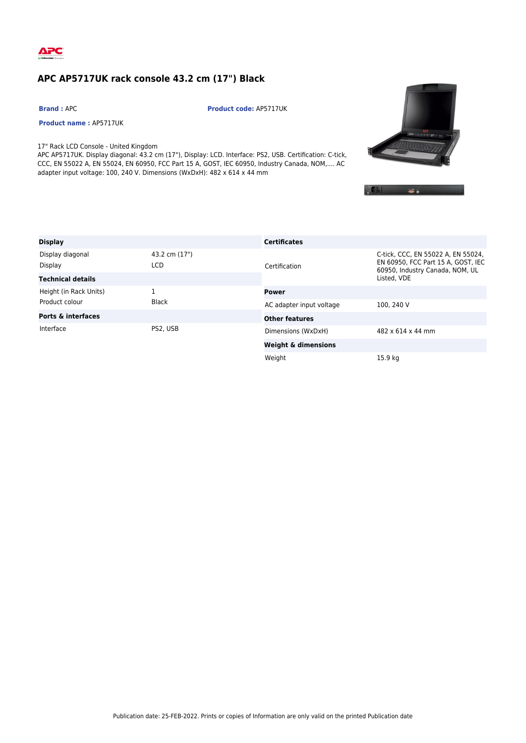

## **APC AP5717UK rack console 43.2 cm (17") Black**

**Product name :** AP5717UK

**Brand :** APC **Product code:** AP5717UK

17" Rack LCD Console - United Kingdom APC AP5717UK. Display diagonal: 43.2 cm (17"), Display: LCD. Interface: PS2, USB. Certification: C-tick, CCC, EN 55022 A, EN 55024, EN 60950, FCC Part 15 A, GOST, IEC 60950, Industry Canada, NOM,.... AC

adapter input voltage: 100, 240 V. Dimensions (WxDxH): 482 x 614 x 44 mm





| <b>Display</b>                |                      | <b>Certificates</b>            |                                                                                                             |
|-------------------------------|----------------------|--------------------------------|-------------------------------------------------------------------------------------------------------------|
| Display diagonal<br>Display   | 43.2 cm (17")<br>LCD | Certification                  | C-tick, CCC, EN 55022 A, EN 55024,<br>EN 60950, FCC Part 15 A, GOST, IEC<br>60950, Industry Canada, NOM, UL |
| <b>Technical details</b>      |                      |                                | Listed. VDE                                                                                                 |
| Height (in Rack Units)        | 1                    | Power                          |                                                                                                             |
| Product colour                | <b>Black</b>         | AC adapter input voltage       | 100, 240 V                                                                                                  |
| <b>Ports &amp; interfaces</b> |                      | <b>Other features</b>          |                                                                                                             |
| Interface                     | PS2, USB             | Dimensions (WxDxH)             | 482 x 614 x 44 mm                                                                                           |
|                               |                      | <b>Weight &amp; dimensions</b> |                                                                                                             |
|                               |                      | Weight                         | 15.9 ka                                                                                                     |